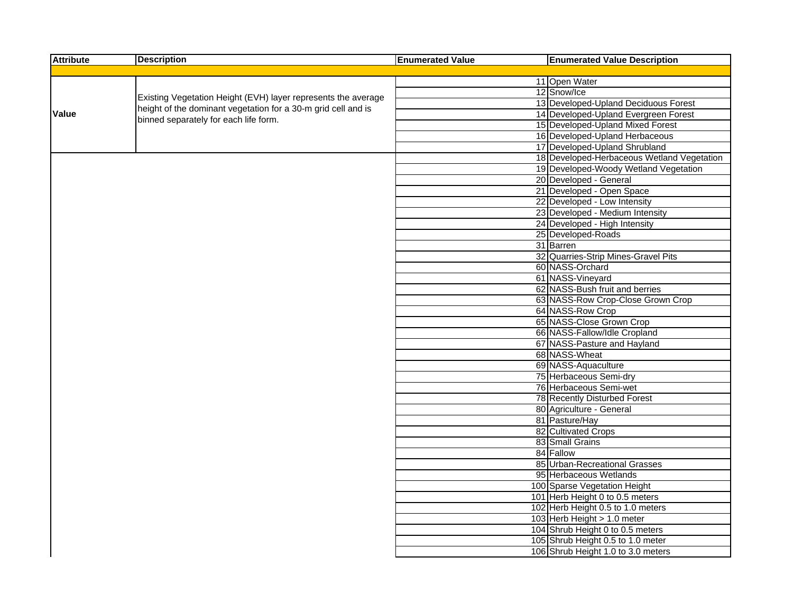| <b>Attribute</b> | <b>Description</b>                                            | <b>Enumerated Value</b> | <b>Enumerated Value Description</b>          |
|------------------|---------------------------------------------------------------|-------------------------|----------------------------------------------|
|                  |                                                               |                         |                                              |
|                  |                                                               |                         | 11 Open Water                                |
|                  | Existing Vegetation Height (EVH) layer represents the average |                         | 12 Snow/Ice                                  |
|                  | height of the dominant vegetation for a 30-m grid cell and is |                         | 13 Developed-Upland Deciduous Forest         |
| Value            | binned separately for each life form.                         |                         | 14 Developed-Upland Evergreen Forest         |
|                  |                                                               |                         | 15 Developed-Upland Mixed Forest             |
|                  |                                                               |                         | 16 Developed-Upland Herbaceous               |
|                  |                                                               |                         | 17 Developed-Upland Shrubland                |
|                  |                                                               |                         | 18 Developed-Herbaceous Wetland Vegetation   |
|                  |                                                               |                         | 19 Developed-Woody Wetland Vegetation        |
|                  |                                                               |                         | 20 Developed - General                       |
|                  |                                                               |                         | 21 Developed - Open Space                    |
|                  |                                                               |                         | 22 Developed - Low Intensity                 |
|                  |                                                               |                         | 23 Developed - Medium Intensity              |
|                  |                                                               |                         | 24 Developed - High Intensity                |
|                  |                                                               |                         | 25 Developed-Roads                           |
|                  |                                                               |                         | 31 Barren                                    |
|                  |                                                               |                         | 32 Quarries-Strip Mines-Gravel Pits          |
|                  |                                                               |                         | 60 NASS-Orchard                              |
|                  |                                                               |                         | 61 NASS-Vineyard                             |
|                  |                                                               |                         | 62 NASS-Bush fruit and berries               |
|                  |                                                               |                         | 63 NASS-Row Crop-Close Grown Crop            |
|                  |                                                               |                         | 64 NASS-Row Crop<br>65 NASS-Close Grown Crop |
|                  |                                                               |                         | 66 NASS-Fallow/Idle Cropland                 |
|                  |                                                               |                         | 67 NASS-Pasture and Hayland                  |
|                  |                                                               |                         | 68 NASS-Wheat                                |
|                  |                                                               |                         | 69 NASS-Aquaculture                          |
|                  |                                                               |                         | 75 Herbaceous Semi-dry                       |
|                  |                                                               |                         | 76 Herbaceous Semi-wet                       |
|                  |                                                               |                         | 78 Recently Disturbed Forest                 |
|                  |                                                               |                         | 80 Agriculture - General                     |
|                  |                                                               |                         | 81 Pasture/Hay                               |
|                  |                                                               |                         | 82 Cultivated Crops                          |
|                  |                                                               |                         | 83 Small Grains                              |
|                  |                                                               |                         | 84 Fallow                                    |
|                  |                                                               |                         | 85 Urban-Recreational Grasses                |
|                  |                                                               |                         | 95 Herbaceous Wetlands                       |
|                  |                                                               |                         | 100 Sparse Vegetation Height                 |
|                  |                                                               |                         | 101 Herb Height 0 to 0.5 meters              |
|                  |                                                               |                         | 102 Herb Height 0.5 to 1.0 meters            |
|                  |                                                               |                         | 103 Herb Height > 1.0 meter                  |
|                  |                                                               |                         | 104 Shrub Height 0 to 0.5 meters             |
|                  |                                                               |                         | 105 Shrub Height 0.5 to 1.0 meter            |
|                  |                                                               |                         | 106 Shrub Height 1.0 to 3.0 meters           |
|                  |                                                               |                         |                                              |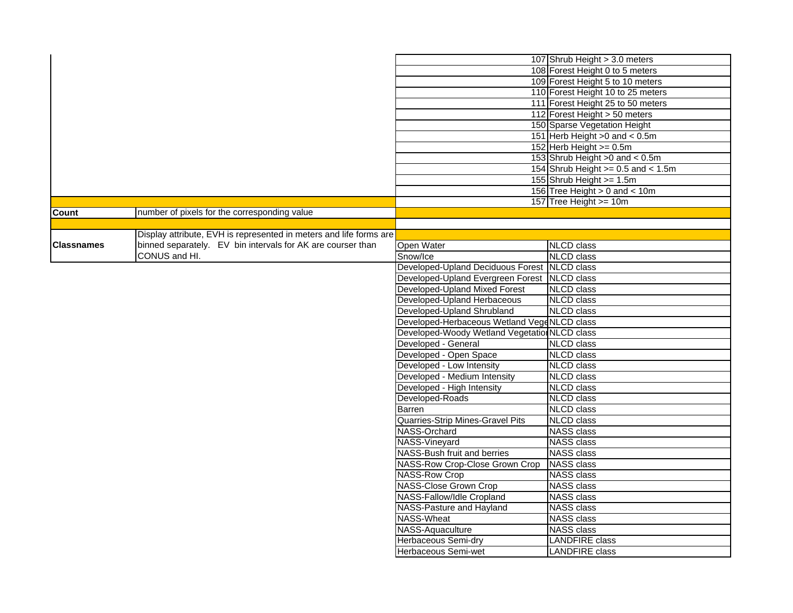|                   |                                                                    |                                               | 107 Shrub Height > 3.0 meters           |
|-------------------|--------------------------------------------------------------------|-----------------------------------------------|-----------------------------------------|
|                   |                                                                    |                                               | 108 Forest Height 0 to 5 meters         |
|                   |                                                                    |                                               | 109 Forest Height 5 to 10 meters        |
|                   |                                                                    |                                               | 110 Forest Height 10 to 25 meters       |
|                   |                                                                    |                                               | 111 Forest Height 25 to 50 meters       |
|                   |                                                                    |                                               | 112 Forest Height > 50 meters           |
|                   |                                                                    |                                               | 150 Sparse Vegetation Height            |
|                   |                                                                    |                                               | 151 Herb Height >0 and < 0.5m           |
|                   |                                                                    |                                               | 152 Herb Height $>= 0.5$ m              |
|                   |                                                                    |                                               | 153 Shrub Height > 0 and < 0.5m         |
|                   |                                                                    |                                               | 154 Shrub Height $>= 0.5$ and $< 1.5$ m |
|                   |                                                                    |                                               | 155 Shrub Height >= 1.5m                |
|                   |                                                                    |                                               | 156 Tree Height $> 0$ and $< 10m$       |
|                   |                                                                    |                                               | 157 Tree Height >= 10m                  |
| <b>Count</b>      | number of pixels for the corresponding value                       |                                               |                                         |
|                   |                                                                    |                                               |                                         |
|                   | Display attribute, EVH is represented in meters and life forms are |                                               |                                         |
| <b>Classnames</b> | binned separately. EV bin intervals for AK are courser than        | Open Water                                    | <b>NLCD</b> class                       |
|                   | CONUS and HI.                                                      | Snow/Ice                                      | <b>NLCD</b> class                       |
|                   |                                                                    | Developed-Upland Deciduous Forest             | <b>NLCD</b> class                       |
|                   |                                                                    | Developed-Upland Evergreen Forest             | <b>NLCD</b> class                       |
|                   |                                                                    | Developed-Upland Mixed Forest                 | <b>NLCD</b> class                       |
|                   |                                                                    | Developed-Upland Herbaceous                   | <b>NLCD</b> class                       |
|                   |                                                                    | Developed-Upland Shrubland                    | <b>NLCD</b> class                       |
|                   |                                                                    | Developed-Herbaceous Wetland VegeNLCD class   |                                         |
|                   |                                                                    | Developed-Woody Wetland Vegetation NLCD class |                                         |
|                   |                                                                    | Developed - General                           | <b>NLCD</b> class                       |
|                   |                                                                    | Developed - Open Space                        | <b>NLCD</b> class                       |
|                   |                                                                    | Developed - Low Intensity                     | <b>NLCD</b> class                       |
|                   |                                                                    | Developed - Medium Intensity                  | <b>NLCD</b> class                       |
|                   |                                                                    | Developed - High Intensity                    | <b>NLCD</b> class                       |
|                   |                                                                    | Developed-Roads                               | <b>NLCD</b> class                       |
|                   |                                                                    | Barren                                        | <b>NLCD</b> class                       |
|                   |                                                                    | Quarries-Strip Mines-Gravel Pits              | <b>NLCD</b> class                       |
|                   |                                                                    | NASS-Orchard                                  | <b>NASS class</b>                       |
|                   |                                                                    | NASS-Vineyard                                 | <b>NASS class</b>                       |
|                   |                                                                    | NASS-Bush fruit and berries                   | <b>NASS class</b>                       |
|                   |                                                                    | NASS-Row Crop-Close Grown Crop                | <b>NASS class</b>                       |
|                   |                                                                    | <b>NASS-Row Crop</b>                          | <b>NASS class</b>                       |
|                   |                                                                    | <b>NASS-Close Grown Crop</b>                  | NASS class                              |
|                   |                                                                    | NASS-Fallow/Idle Cropland                     | <b>NASS class</b>                       |
|                   |                                                                    | NASS-Pasture and Hayland                      | <b>NASS class</b>                       |
|                   |                                                                    | <b>NASS-Wheat</b>                             | <b>NASS class</b>                       |
|                   |                                                                    | NASS-Aquaculture                              | <b>NASS class</b>                       |
|                   |                                                                    | Herbaceous Semi-dry                           | <b>LANDFIRE</b> class                   |
|                   |                                                                    | Herbaceous Semi-wet                           | <b>LANDFIRE</b> class                   |
|                   |                                                                    |                                               |                                         |